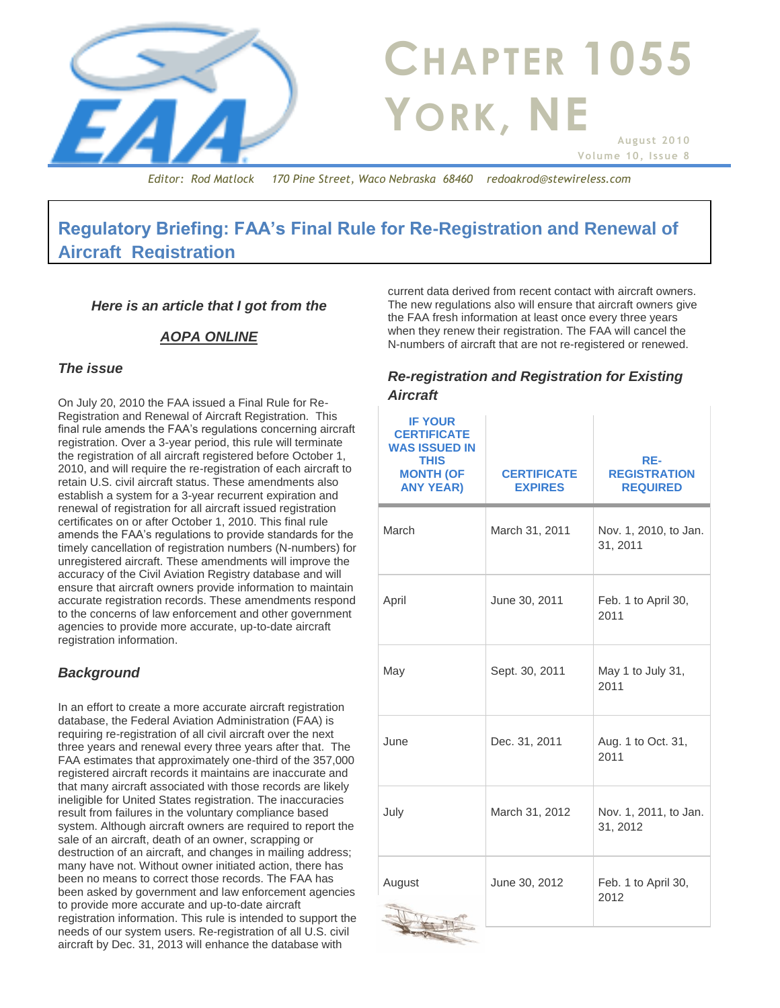

# **Regulatory Briefing: FAA's Final Rule for Re-Registration and Renewal of Aircraft Registration**

#### *Here is an article that I got from the*

#### *AOPA ONLINE*

#### *The issue*

On July 20, 2010 the FAA issued a Final Rule for Re-Registration and Renewal of Aircraft Registration. This final rule amends the FAA's regulations concerning aircraft registration. Over a 3-year period, this rule will terminate the registration of all aircraft registered before October 1, 2010, and will require the re-registration of each aircraft to retain U.S. civil aircraft status. These amendments also establish a system for a 3-year recurrent expiration and renewal of registration for all aircraft issued registration certificates on or after October 1, 2010. This final rule amends the FAA's regulations to provide standards for the timely cancellation of registration numbers (N-numbers) for unregistered aircraft. These amendments will improve the accuracy of the Civil Aviation Registry database and will ensure that aircraft owners provide information to maintain accurate registration records. These amendments respond to the concerns of law enforcement and other government agencies to provide more accurate, up-to-date aircraft registration information.

### *Background*

In an effort to create a more accurate aircraft registration database, the Federal Aviation Administration (FAA) is requiring re-registration of all civil aircraft over the next three years and renewal every three years after that. The FAA estimates that approximately one-third of the 357,000 registered aircraft records it maintains are inaccurate and that many aircraft associated with those records are likely ineligible for United States registration. The inaccuracies result from failures in the voluntary compliance based system. Although aircraft owners are required to report the sale of an aircraft, death of an owner, scrapping or destruction of an aircraft, and changes in mailing address; many have not. Without owner initiated action, there has been no means to correct those records. The FAA has been asked by government and law enforcement agencies to provide more accurate and up-to-date aircraft registration information. This rule is intended to support the needs of our system users. Re-registration of all U.S. civil aircraft by Dec. 31, 2013 will enhance the database with

current data derived from recent contact with aircraft owners. The new regulations also will ensure that aircraft owners give the FAA fresh information at least once every three years when they renew their registration. The FAA will cancel the N-numbers of aircraft that are not re-registered or renewed.

#### *Re-registration and Registration for Existing Aircraft*

| <b>IF YOUR</b><br><b>CERTIFICATE</b><br><b>WAS ISSUED IN</b><br><b>THIS</b><br><b>MONTH (OF</b><br><b>ANY YEAR)</b> | <b>CERTIFICATE</b><br><b>EXPIRES</b> | RE-<br><b>REGISTRATION</b><br><b>REQUIRED</b> |
|---------------------------------------------------------------------------------------------------------------------|--------------------------------------|-----------------------------------------------|
| March                                                                                                               | March 31, 2011                       | Nov. 1, 2010, to Jan.<br>31, 2011             |
| April                                                                                                               | June 30, 2011                        | Feb. 1 to April 30,<br>2011                   |
| May                                                                                                                 | Sept. 30, 2011                       | May 1 to July 31,<br>2011                     |
| June                                                                                                                | Dec. 31, 2011                        | Aug. 1 to Oct. 31,<br>2011                    |
| July                                                                                                                | March 31, 2012                       | Nov. 1, 2011, to Jan.<br>31, 2012             |
| August                                                                                                              | June 30, 2012                        | Feb. 1 to April 30,<br>2012                   |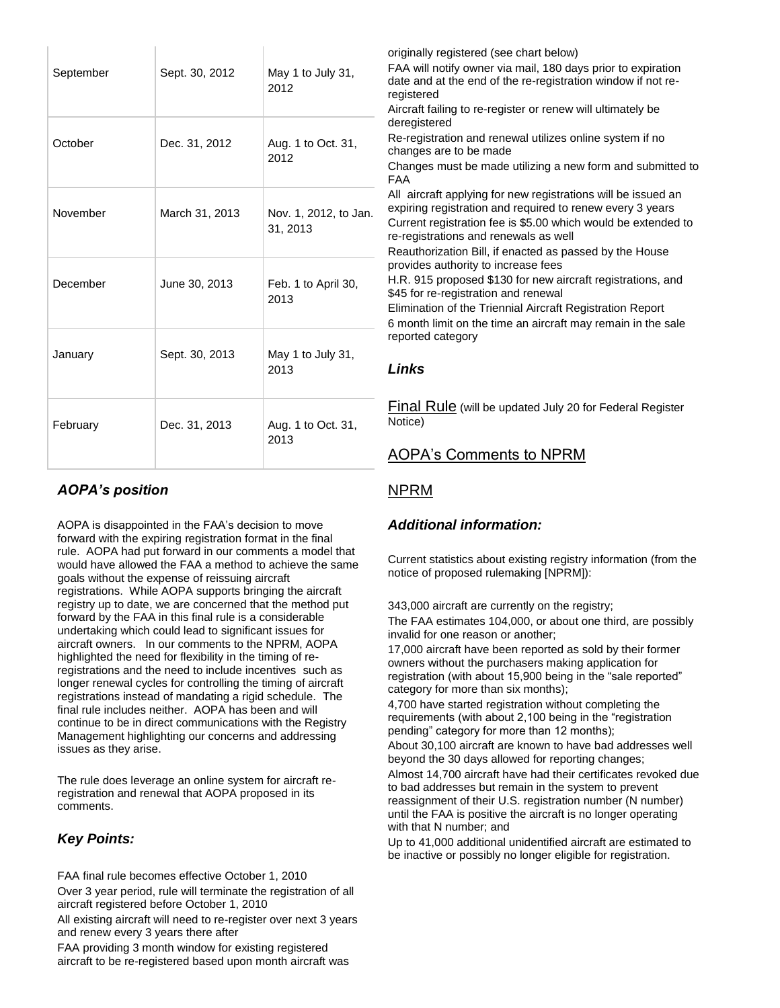| September | Sept. 30, 2012 | May 1 to July 31,<br>2012         | originally registered (see chart below)<br>FAA will notify owner via mail, 180 days prior to expiration<br>date and at the end of the re-registration window if not re-<br>registered<br>Aircraft failing to re-register or renew will ultimately be                                            |
|-----------|----------------|-----------------------------------|-------------------------------------------------------------------------------------------------------------------------------------------------------------------------------------------------------------------------------------------------------------------------------------------------|
| October   | Dec. 31, 2012  | Aug. 1 to Oct. 31,<br>2012        | deregistered<br>Re-registration and renewal utilizes online system if no<br>changes are to be made<br>Changes must be made utilizing a new form and submitted to<br><b>FAA</b>                                                                                                                  |
| November  | March 31, 2013 | Nov. 1, 2012, to Jan.<br>31, 2013 | All aircraft applying for new registrations will be issued an<br>expiring registration and required to renew every 3 years<br>Current registration fee is \$5.00 which would be extended to<br>re-registrations and renewals as well<br>Reauthorization Bill, if enacted as passed by the House |
| December  | June 30, 2013  | Feb. 1 to April 30,<br>2013       | provides authority to increase fees<br>H.R. 915 proposed \$130 for new aircraft registrations, and<br>\$45 for re-registration and renewal<br>Elimination of the Triennial Aircraft Registration Report<br>6 month limit on the time an aircraft may remain in the sale                         |
| January   | Sept. 30, 2013 | May 1 to July 31,<br>2013         | reported category<br><b>Links</b>                                                                                                                                                                                                                                                               |
| February  | Dec. 31, 2013  | Aug. 1 to Oct. 31,<br>2013        | <b>Final Rule</b> (will be updated July 20 for Federal Register<br>Notice)<br><b>AOPA's Comments to NPRM</b>                                                                                                                                                                                    |

### *AOPA's position*

AOPA is disappointed in the FAA's decision to move forward with the expiring registration format in the final rule. AOPA had put forward in our comments a model that would have allowed the FAA a method to achieve the same goals without the expense of reissuing aircraft registrations. While AOPA supports bringing the aircraft registry up to date, we are concerned that the method put forward by the FAA in this final rule is a considerable undertaking which could lead to significant issues for aircraft owners. In our comments to the NPRM, AOPA highlighted the need for flexibility in the timing of reregistrations and the need to include incentives such as longer renewal cycles for controlling the timing of aircraft registrations instead of mandating a rigid schedule. The final rule includes neither. AOPA has been and will continue to be in direct communications with the Registry Management highlighting our concerns and addressing issues as they arise.

The rule does leverage an online system for aircraft reregistration and renewal that AOPA proposed in its comments.

### *Key Points:*

FAA final rule becomes effective October 1, 2010

Over 3 year period, rule will terminate the registration of all aircraft registered before October 1, 2010

All existing aircraft will need to re-register over next 3 years and renew every 3 years there after

FAA providing 3 month window for existing registered aircraft to be re-registered based upon month aircraft was

#### [NPRM](http://edocket.access.gpo.gov/2008/pdf/E8-3822.pdf)

#### *Additional information:*

Current statistics about existing registry information (from the notice of proposed rulemaking [NPRM]):

343,000 aircraft are currently on the registry;

The FAA estimates 104,000, or about one third, are possibly invalid for one reason or another;

17,000 aircraft have been reported as sold by their former owners without the purchasers making application for registration (with about 15,900 being in the "sale reported" category for more than six months);

4,700 have started registration without completing the requirements (with about 2,100 being in the "registration pending" category for more than 12 months);

About 30,100 aircraft are known to have bad addresses well beyond the 30 days allowed for reporting changes;

Almost 14,700 aircraft have had their certificates revoked due to bad addresses but remain in the system to prevent reassignment of their U.S. registration number (N number) until the FAA is positive the aircraft is no longer operating with that N number; and

Up to 41,000 additional unidentified aircraft are estimated to be inactive or possibly no longer eligible for registration.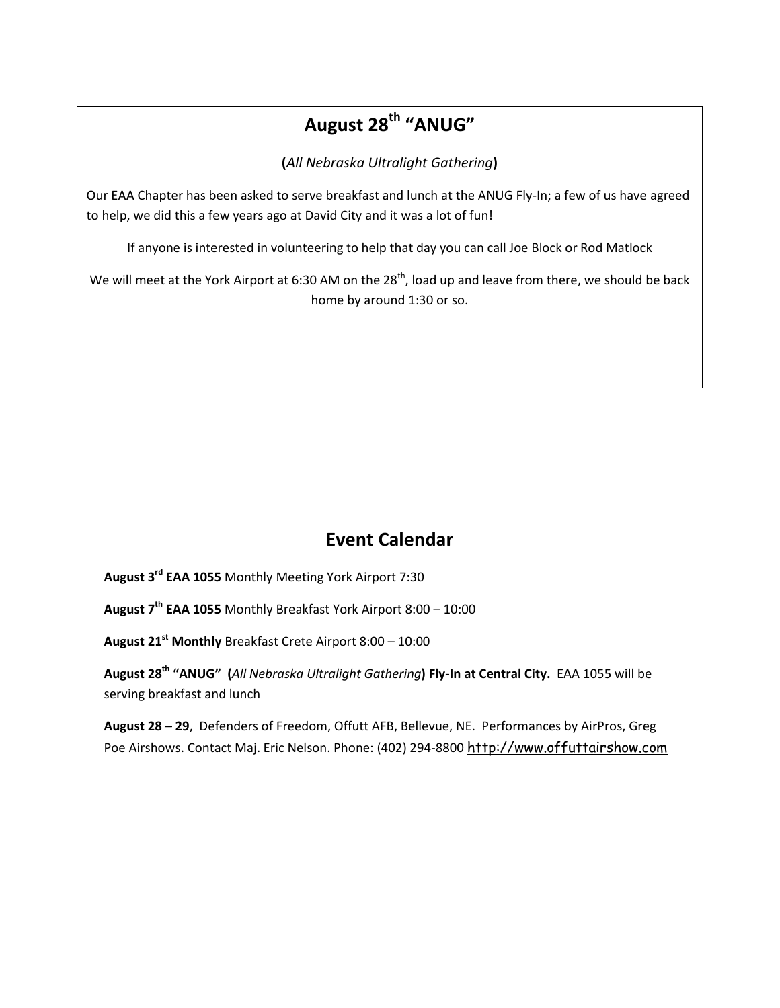# **August 28th "ANUG"**

**(***All Nebraska Ultralight Gathering***)**

Our EAA Chapter has been asked to serve breakfast and lunch at the ANUG Fly-In; a few of us have agreed to help, we did this a few years ago at David City and it was a lot of fun!

If anyone is interested in volunteering to help that day you can call Joe Block or Rod Matlock

We will meet at the York Airport at 6:30 AM on the 28<sup>th</sup>, load up and leave from there, we should be back home by around 1:30 or so.

## **Event Calendar**

**August 3rd EAA 1055** Monthly Meeting York Airport 7:30

**August 7 th EAA 1055** Monthly Breakfast York Airport 8:00 – 10:00

**August 21st Monthly** Breakfast Crete Airport 8:00 – 10:00

**August 28th "ANUG" (***All Nebraska Ultralight Gathering***) Fly-In at Central City.** EAA 1055 will be serving breakfast and lunch

**August 28 – 29**, Defenders of Freedom, Offutt AFB, Bellevue, NE. Performances by AirPros, Greg Poe Airshows. Contact Maj. Eric Nelson. Phone: (402) 294-8800 [http://www.offuttairshow.com](http://www.offuttairshow.com/)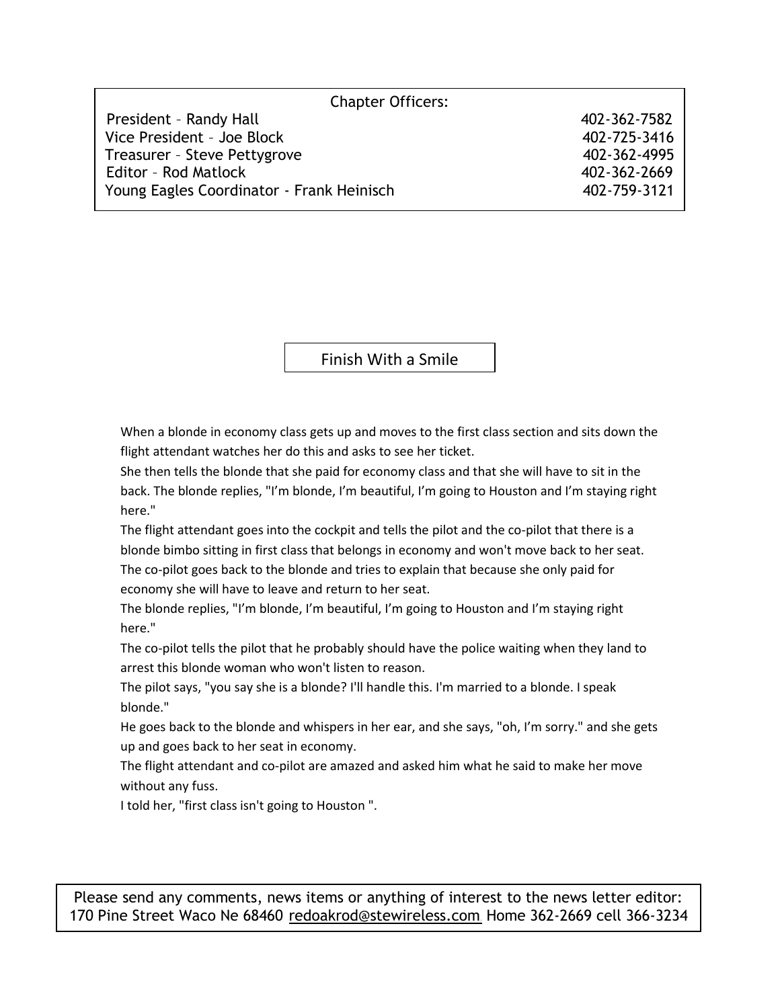| <b>Chapter Officers:</b>                  |              |  |  |  |
|-------------------------------------------|--------------|--|--|--|
| President - Randy Hall                    | 402-362-7582 |  |  |  |
| Vice President - Joe Block                | 402-725-3416 |  |  |  |
| Treasurer - Steve Pettygrove              | 402-362-4995 |  |  |  |
| <b>Editor - Rod Matlock</b>               | 402-362-2669 |  |  |  |
| Young Eagles Coordinator - Frank Heinisch | 402-759-3121 |  |  |  |

Finish With a Smile

When a blonde in economy class gets up and moves to the first class section and sits down the flight attendant watches her do this and asks to see her ticket.

She then tells the blonde that she paid for economy class and that she will have to sit in the back. The blonde replies, "I'm blonde, I'm beautiful, I'm going to Houston and I'm staying right here."

The flight attendant goes into the cockpit and tells the pilot and the co-pilot that there is a blonde bimbo sitting in first class that belongs in economy and won't move back to her seat. The co-pilot goes back to the blonde and tries to explain that because she only paid for economy she will have to leave and return to her seat.

The blonde replies, "I'm blonde, I'm beautiful, I'm going to Houston and I'm staying right here."

The co-pilot tells the pilot that he probably should have the police waiting when they land to arrest this blonde woman who won't listen to reason.

The pilot says, "you say she is a blonde? I'll handle this. I'm married to a blonde. I speak blonde."

He goes back to the blonde and whispers in her ear, and she says, "oh, I'm sorry." and she gets up and goes back to her seat in economy.

The flight attendant and co-pilot are amazed and asked him what he said to make her move without any fuss.

I told her, "first class isn't going to Houston ".

Please send any comments, news items or anything of interest to the news letter editor: 170 Pine Street Waco Ne 68460 [redoakrod@stewireless.com](mailto:redoakrod@stewireless.com) Home 362-2669 cell 366-3234